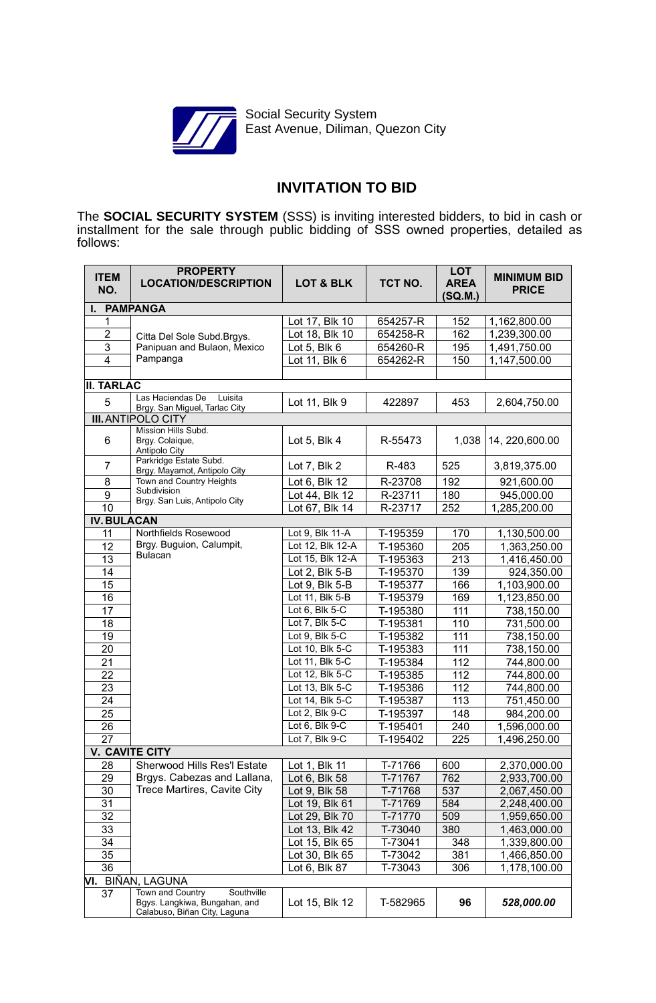

Social Security System East Avenue, Diliman, Quezon City

# **INVITATION TO BID**

The **SOCIAL SECURITY SYSTEM** (SSS) is inviting interested bidders, to bid in cash or installment for the sale through public bidding of SSS owned properties, detailed as follows:

| <b>ITEM</b><br>NO.    | <b>PROPERTY</b><br><b>LOCATION/DESCRIPTION</b>                                                  | <b>LOT &amp; BLK</b> | TCT NO.  | <b>LOT</b><br><b>AREA</b><br>(SQ.M.) | <b>MINIMUM BID</b><br><b>PRICE</b> |  |  |  |
|-----------------------|-------------------------------------------------------------------------------------------------|----------------------|----------|--------------------------------------|------------------------------------|--|--|--|
| <b>PAMPANGA</b><br>ı. |                                                                                                 |                      |          |                                      |                                    |  |  |  |
| $\mathbf{1}$          |                                                                                                 | Lot 17, Blk 10       | 654257-R | 152                                  | 1,162,800.00                       |  |  |  |
| $\overline{c}$        | Citta Del Sole Subd.Brgys.                                                                      | Lot 18, Blk 10       | 654258-R | 162                                  | 1,239,300.00                       |  |  |  |
| $\overline{3}$        | Panipuan and Bulaon, Mexico                                                                     | Lot 5, Blk 6         | 654260-R | 195                                  | 1,491,750.00                       |  |  |  |
| $\overline{4}$        | Pampanga                                                                                        | Lot 11, Blk 6        | 654262-R | 150                                  | 1,147,500.00                       |  |  |  |
| <b>II. TARLAC</b>     |                                                                                                 |                      |          |                                      |                                    |  |  |  |
| 5                     | Las Haciendas De<br>Luisita                                                                     | Lot 11, Blk 9        | 422897   | 453                                  | 2,604,750.00                       |  |  |  |
|                       | Brgy. San Miguel, Tarlac City                                                                   |                      |          |                                      |                                    |  |  |  |
|                       | <b>III. ANTIPOLO CITY</b>                                                                       |                      |          |                                      |                                    |  |  |  |
| 6                     | Mission Hills Subd.<br>Brgy. Colaique,<br>Antipolo City                                         | Lot 5, Blk 4         | R-55473  | 1,038                                | 14, 220,600.00                     |  |  |  |
| $\overline{7}$        | Parkridge Estate Subd.<br>Brgy. Mayamot, Antipolo City                                          | Lot 7, Blk 2         | R-483    | 525                                  | 3,819,375.00                       |  |  |  |
| 8                     | Town and Country Heights                                                                        | Lot 6, Blk 12        | R-23708  | 192                                  | 921,600.00                         |  |  |  |
| $\boldsymbol{9}$      | Subdivision<br>Brgy. San Luis, Antipolo City                                                    | Lot 44, Blk 12       | R-23711  | 180                                  | 945,000.00                         |  |  |  |
| 10                    |                                                                                                 | Lot 67, Blk 14       | R-23717  | 252                                  | 1,285,200.00                       |  |  |  |
| <b>IV. BULACAN</b>    |                                                                                                 |                      |          |                                      |                                    |  |  |  |
| 11                    | Northfields Rosewood                                                                            | Lot 9, Blk 11-A      | T-195359 | 170                                  | 1,130,500.00                       |  |  |  |
| 12                    | Brgy. Buguion, Calumpit,                                                                        | Lot 12, Blk 12-A     | T-195360 | 205                                  | 1,363,250.00                       |  |  |  |
| 13                    | <b>Bulacan</b>                                                                                  | Lot 15, Blk 12-A     | T-195363 | 213                                  | 1,416,450.00                       |  |  |  |
| 14                    |                                                                                                 | Lot 2, Blk 5-B       | T-195370 | 139                                  | 924,350.00                         |  |  |  |
| 15                    |                                                                                                 | Lot 9, Blk 5-B       | T-195377 | 166                                  | 1,103,900.00                       |  |  |  |
| 16                    |                                                                                                 | Lot 11, Blk 5-B      | T-195379 | 169                                  | 1,123,850.00                       |  |  |  |
| 17                    |                                                                                                 | Lot $6$ , Blk $5$ -C | T-195380 | 111                                  | 738,150.00                         |  |  |  |
| 18                    |                                                                                                 | Lot 7, Blk 5-C       | T-195381 | 110                                  | 731,500.00                         |  |  |  |
| 19                    |                                                                                                 | Lot 9, Blk 5-C       | T-195382 | 111                                  | 738,150.00                         |  |  |  |
| 20                    |                                                                                                 | Lot 10, Blk 5-C      | T-195383 | 111                                  | 738,150.00                         |  |  |  |
| 21                    |                                                                                                 | Lot 11, Blk 5-C      | T-195384 | 112                                  | 744,800.00                         |  |  |  |
| 22                    |                                                                                                 | Lot 12, Blk 5-C      | T-195385 | 112                                  | 744,800.00                         |  |  |  |
| 23                    |                                                                                                 | Lot 13, Blk 5-C      | T-195386 | 112                                  | 744,800.00                         |  |  |  |
| 24                    |                                                                                                 | Lot 14, Blk 5-C      | T-195387 | 113                                  | 751,450.00                         |  |  |  |
| 25                    |                                                                                                 | Lot 2, Blk 9-C       | T-195397 | 148                                  | 984,200.00                         |  |  |  |
| 26                    |                                                                                                 | Lot 6, Blk $9 - C$   | T-195401 | 240                                  | 1,596,000.00                       |  |  |  |
| 27                    |                                                                                                 | Lot 7, Blk 9-C       | T-195402 | 225                                  | 1,496,250.00                       |  |  |  |
|                       | <b>V. CAVITE CITY</b>                                                                           |                      |          |                                      |                                    |  |  |  |
| 28                    | Sherwood Hills Res'l Estate                                                                     | Lot 1, Blk 11        | T-71766  | 600                                  | 2,370,000.00                       |  |  |  |
| 29                    | Brgys. Cabezas and Lallana,                                                                     | Lot 6, Blk 58        | T-71767  | 762                                  | 2,933,700.00                       |  |  |  |
| 30                    | Trece Martires, Cavite City                                                                     | Lot 9, Blk 58        | T-71768  | 537                                  | 2,067,450.00                       |  |  |  |
| 31                    |                                                                                                 | Lot 19, Blk 61       | T-71769  | 584                                  | 2,248,400.00                       |  |  |  |
| 32                    |                                                                                                 | Lot 29, Blk 70       | T-71770  | 509                                  | 1,959,650.00                       |  |  |  |
| 33                    |                                                                                                 | Lot 13, Blk 42       | T-73040  | 380                                  | 1,463,000.00                       |  |  |  |
| 34                    |                                                                                                 | Lot 15, Blk 65       | T-73041  | 348                                  | 1,339,800.00                       |  |  |  |
| 35                    |                                                                                                 | Lot 30, Blk 65       | T-73042  | 381                                  | 1,466,850.00                       |  |  |  |
| 36                    |                                                                                                 | Lot 6, Blk 87        | T-73043  | 306                                  | 1,178,100.00                       |  |  |  |
| VI. BIÑAN, LAGUNA     |                                                                                                 |                      |          |                                      |                                    |  |  |  |
| 37                    | Town and Country<br>Southville<br>Bgys. Langkiwa, Bungahan, and<br>Calabuso, Biñan City, Laguna | Lot 15, Blk 12       | T-582965 | 96                                   | 528,000.00                         |  |  |  |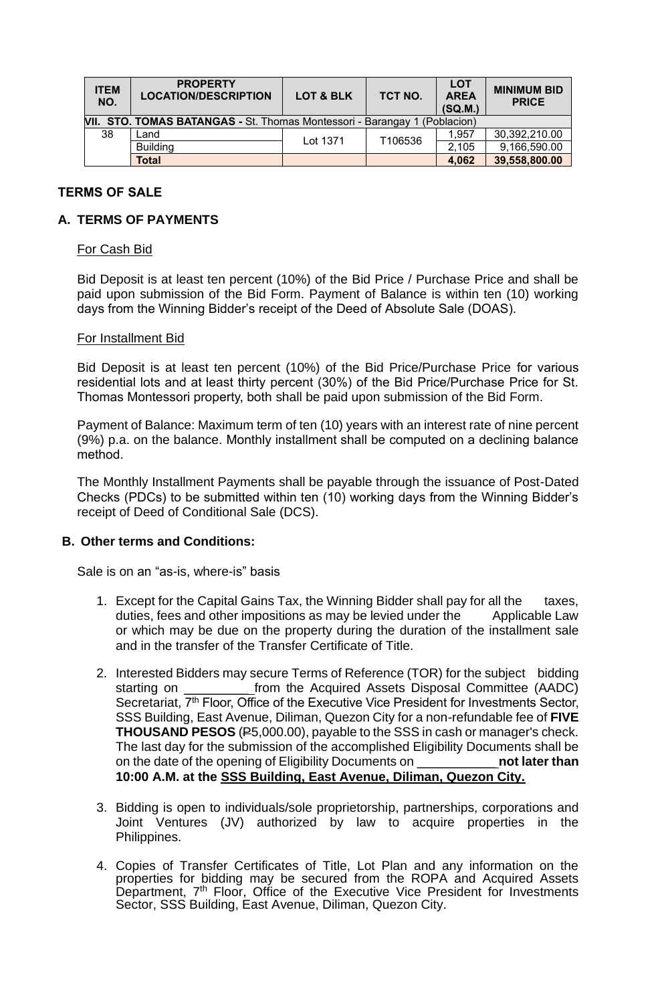| <b>ITEM</b><br>NO.                                                           | <b>PROPERTY</b><br><b>LOCATION/DESCRIPTION</b> | LOT & BLK | TCT NO. | <b>LOT</b><br><b>AREA</b><br>(SQ.M.) | <b>MINIMUM BID</b><br><b>PRICE</b> |  |  |  |
|------------------------------------------------------------------------------|------------------------------------------------|-----------|---------|--------------------------------------|------------------------------------|--|--|--|
| VII. STO. TOMAS BATANGAS - St. Thomas Montessori - Barangay<br>1 (Poblacion) |                                                |           |         |                                      |                                    |  |  |  |
| 38                                                                           | Land                                           | Lot 1371  | T106536 | 1.957                                | 30,392,210.00                      |  |  |  |
|                                                                              | <b>Building</b>                                |           |         | 2,105                                | 9,166,590.00                       |  |  |  |
|                                                                              | Total                                          |           |         | 4,062                                | 39,558,800.00                      |  |  |  |

## **TERMS OF SALE**

## **A. TERMS OF PAYMENTS**

#### For Cash Bid

Bid Deposit is at least ten percent (10%) of the Bid Price / Purchase Price and shall be paid upon submission of the Bid Form. Payment of Balance is within ten (10) working days from the Winning Bidder's receipt of the Deed of Absolute Sale (DOAS).

#### For Installment Bid

Bid Deposit is at least ten percent (10%) of the Bid Price/Purchase Price for various residential lots and at least thirty percent (30%) of the Bid Price/Purchase Price for St. Thomas Montessori property, both shall be paid upon submission of the Bid Form.

Payment of Balance: Maximum term of ten (10) years with an interest rate of nine percent (9%) p.a. on the balance. Monthly installment shall be computed on a declining balance method.

The Monthly Installment Payments shall be payable through the issuance of Post-Dated Checks (PDCs) to be submitted within ten (10) working days from the Winning Bidder's receipt of Deed of Conditional Sale (DCS).

### **B. Other terms and Conditions:**

Sale is on an "as-is, where-is" basis

- 1. Except for the Capital Gains Tax, the Winning Bidder shall pay for all the taxes, duties, fees and other impositions as may be levied under the Applicable Law or which may be due on the property during the duration of the installment sale and in the transfer of the Transfer Certificate of Title.
- 2. Interested Bidders may secure Terms of Reference (TOR) for the subject bidding starting on **the Acquired Assets Disposal Committee (AADC)** Secretariat, 7<sup>th</sup> Floor, Office of the Executive Vice President for Investments Sector, SSS Building, East Avenue, Diliman, Quezon City for a non-refundable fee of **FIVE THOUSAND PESOS** (P5,000.00), payable to the SSS in cash or manager's check. The last day for the submission of the accomplished Eligibility Documents shall be on the date of the opening of Eligibility Documents on \_\_\_\_\_\_\_\_\_\_\_ **not later than 10:00 A.M. at the SSS Building, East Avenue, Diliman, Quezon City.**
- 3. Bidding is open to individuals/sole proprietorship, partnerships, corporations and Joint Ventures (JV) authorized by law to acquire properties in the Philippines.
- 4. Copies of Transfer Certificates of Title, Lot Plan and any information on the properties for bidding may be secured from the ROPA and Acquired Assets Department, 7<sup>th</sup> Floor, Office of the Executive Vice President for Investments Sector, SSS Building, East Avenue, Diliman, Quezon City.